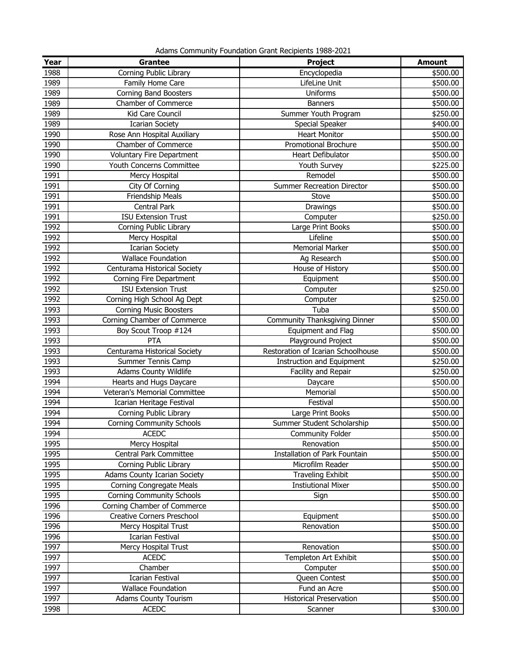Adams Community Foundation Grant Recipients 1988-2021

| Year | <b>Grantee</b>                      | <b>Project</b>                     | <b>Amount</b> |
|------|-------------------------------------|------------------------------------|---------------|
| 1988 | Corning Public Library              | Encyclopedia                       | \$500.00      |
| 1989 | Family Home Care                    | LifeLine Unit                      | \$500.00      |
| 1989 | <b>Corning Band Boosters</b>        | Uniforms                           | \$500.00      |
| 1989 | Chamber of Commerce                 | <b>Banners</b>                     | \$500.00      |
| 1989 | Kid Care Council                    | Summer Youth Program               | \$250.00      |
| 1989 | <b>Icarian Society</b>              | Special Speaker                    | \$400.00      |
| 1990 | Rose Ann Hospital Auxiliary         | <b>Heart Monitor</b>               | \$500.00      |
| 1990 | Chamber of Commerce                 | <b>Promotional Brochure</b>        | \$500.00      |
| 1990 | <b>Voluntary Fire Department</b>    | Heart Defibulator                  | \$500.00      |
| 1990 | Youth Concerns Committee            | Youth Survey                       | \$225.00      |
| 1991 | Mercy Hospital                      | Remodel                            | \$500.00      |
| 1991 | City Of Corning                     | <b>Summer Recreation Director</b>  | \$500.00      |
| 1991 | Friendship Meals                    | Stove                              | \$500.00      |
| 1991 | <b>Central Park</b>                 | Drawings                           | \$500.00      |
| 1991 | <b>ISU Extension Trust</b>          | Computer                           | \$250.00      |
| 1992 | Corning Public Library              | Large Print Books                  | \$500.00      |
| 1992 | Mercy Hospital                      | Lifeline                           | \$500.00      |
| 1992 | <b>Icarian Society</b>              | <b>Memorial Marker</b>             | \$500.00      |
| 1992 | <b>Wallace Foundation</b>           | Ag Research                        | \$500.00      |
| 1992 | Centurama Historical Society        | House of History                   | \$500.00      |
| 1992 | Corning Fire Department             | Equipment                          | \$500.00      |
| 1992 | <b>ISU Extension Trust</b>          | Computer                           | \$250.00      |
| 1992 | Corning High School Ag Dept         | Computer                           | \$250.00      |
| 1993 | <b>Corning Music Boosters</b>       | Tuba                               | \$500.00      |
| 1993 | Corning Chamber of Commerce         | Community Thanksgiving Dinner      | \$500.00      |
| 1993 | Boy Scout Troop #124                | Equipment and Flag                 | \$500.00      |
| 1993 | PTA                                 | Playground Project                 | \$500.00      |
| 1993 | Centurama Historical Society        | Restoration of Icarian Schoolhouse | \$500.00      |
| 1993 | Summer Tennis Camp                  | <b>Instruction and Equipment</b>   | \$250.00      |
| 1993 | <b>Adams County Wildlife</b>        | Facility and Repair                | \$250.00      |
| 1994 | Hearts and Hugs Daycare             | Daycare                            | \$500.00      |
| 1994 | Veteran's Memorial Committee        | Memorial                           | \$500.00      |
| 1994 | Icarian Heritage Festival           | Festival                           | \$500.00      |
| 1994 | Corning Public Library              | Large Print Books                  | \$500.00      |
| 1994 | Corning Community Schools           | Summer Student Scholarship         | \$500.00      |
| 1994 | <b>ACEDC</b>                        | Community Folder                   | \$500.00      |
| 1995 | Mercy Hospital                      | Renovation                         | \$500.00      |
| 1995 | Central Park Committee              | Installation of Park Fountain      | \$500.00      |
| 1995 | Corning Public Library              | Microfilm Reader                   | \$500.00      |
| 1995 | <b>Adams County Icarian Society</b> | <b>Traveling Exhibit</b>           | \$500.00      |
| 1995 | <b>Corning Congregate Meals</b>     | <b>Instiutional Mixer</b>          | \$500.00      |
| 1995 | <b>Corning Community Schools</b>    | Sign                               | \$500.00      |
| 1996 | Corning Chamber of Commerce         |                                    | \$500.00      |
| 1996 | Creative Corners Preschool          | Equipment                          | \$500.00      |
| 1996 | Mercy Hospital Trust                | Renovation                         | \$500.00      |
| 1996 | <b>Icarian Festival</b>             |                                    | \$500.00      |
| 1997 | Mercy Hospital Trust                | Renovation                         | \$500.00      |
| 1997 | <b>ACEDC</b>                        | Templeton Art Exhibit              | \$500.00      |
| 1997 | Chamber                             | Computer                           | \$500.00      |
| 1997 | <b>Icarian Festival</b>             | Queen Contest                      | \$500.00      |
| 1997 | <b>Wallace Foundation</b>           | Fund an Acre                       | \$500.00      |
| 1997 | <b>Adams County Tourism</b>         | <b>Historical Preservation</b>     | \$500.00      |
| 1998 | <b>ACEDC</b>                        | Scanner                            | \$300.00      |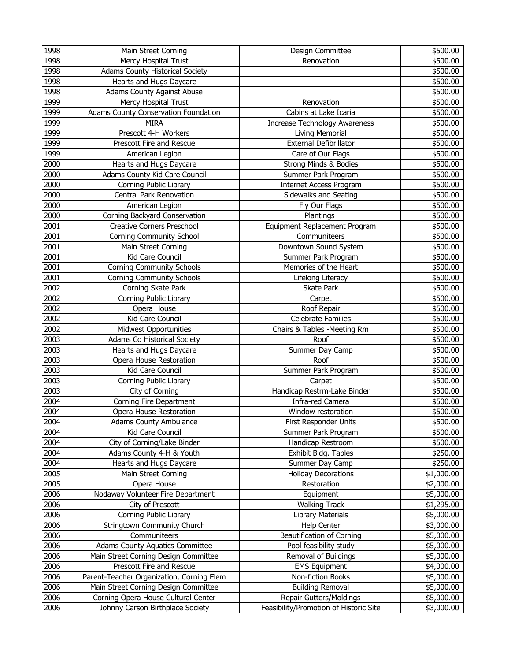| 1998 | Main Street Corning                       | Design Committee                       | \$500.00   |
|------|-------------------------------------------|----------------------------------------|------------|
| 1998 | Mercy Hospital Trust                      | Renovation                             | \$500.00   |
| 1998 | Adams County Historical Society           |                                        | \$500.00   |
| 1998 | Hearts and Hugs Daycare                   |                                        | \$500.00   |
| 1998 | <b>Adams County Against Abuse</b>         |                                        | \$500.00   |
| 1999 | Mercy Hospital Trust                      | Renovation                             | \$500.00   |
| 1999 | Adams County Conservation Foundation      | Cabins at Lake Icaria                  | \$500.00   |
| 1999 | <b>MIRA</b>                               | <b>Increase Technology Awareness</b>   | \$500.00   |
| 1999 | Prescott 4-H Workers                      | Living Memorial                        | \$500.00   |
| 1999 | Prescott Fire and Rescue                  | <b>External Defibrillator</b>          | \$500.00   |
| 1999 | American Legion                           | Care of Our Flags                      | \$500.00   |
| 2000 | Hearts and Hugs Daycare                   | Strong Minds & Bodies                  | \$500.00   |
| 2000 | Adams County Kid Care Council             | Summer Park Program                    | \$500.00   |
| 2000 | Corning Public Library                    | <b>Internet Access Program</b>         | \$500.00   |
| 2000 | Central Park Renovation                   | Sidewalks and Seating                  | \$500.00   |
| 2000 | American Legion                           | Fly Our Flags                          | \$500.00   |
| 2000 | Corning Backyard Conservation             | Plantings                              | \$500.00   |
| 2001 | <b>Creative Corners Preschool</b>         | Equipment Replacement Program          | \$500.00   |
| 2001 | <b>Corning Community School</b>           | Communiteers                           | \$500.00   |
| 2001 | Main Street Corning                       | Downtown Sound System                  | \$500.00   |
| 2001 | Kid Care Council                          | Summer Park Program                    | \$500.00   |
| 2001 | <b>Corning Community Schools</b>          | Memories of the Heart                  | \$500.00   |
| 2001 | <b>Corning Community Schools</b>          | Lifelong Literacy                      | \$500.00   |
| 2002 | Corning Skate Park                        | Skate Park                             | \$500.00   |
| 2002 | Corning Public Library                    | Carpet                                 | \$500.00   |
| 2002 | Opera House                               | Roof Repair                            | \$500.00   |
| 2002 | Kid Care Council                          | Celebrate Families                     | \$500.00   |
| 2002 | <b>Midwest Opportunities</b>              | Chairs & Tables -Meeting Rm            | \$500.00   |
| 2003 | Adams Co Historical Society               | Roof                                   | \$500.00   |
| 2003 | Hearts and Hugs Daycare                   | Summer Day Camp                        | \$500.00   |
| 2003 | Opera House Restoration                   | Roof                                   | \$500.00   |
| 2003 | Kid Care Council                          | Summer Park Program                    | \$500.00   |
| 2003 | Corning Public Library                    | Carpet                                 | \$500.00   |
| 2003 | City of Corning                           | Handicap Restrm-Lake Binder            | \$500.00   |
| 2004 | Corning Fire Department                   | Infra-red Camera                       | \$500.00   |
| 2004 | Opera House Restoration                   | Window restoration                     | \$500.00   |
| 2004 | <b>Adams County Ambulance</b>             | First Responder Units                  | \$500.00   |
| 2004 | Kid Care Council                          | Summer Park Program                    | \$500.00   |
| 2004 | City of Corning/Lake Binder               | Handicap Restroom                      | \$500.00   |
| 2004 | Adams County 4-H & Youth                  | Exhibit Bldg. Tables                   | \$250.00   |
| 2004 | Hearts and Hugs Daycare                   | Summer Day Camp                        | \$250.00   |
| 2005 | Main Street Corning                       | <b>Holiday Decorations</b>             | \$1,000.00 |
| 2005 | Opera House                               | Restoration                            | \$2,000.00 |
| 2006 | Nodaway Volunteer Fire Department         | Equipment                              | \$5,000.00 |
| 2006 | City of Prescott                          | <b>Walking Track</b>                   | \$1,295.00 |
| 2006 | Corning Public Library                    | Library Materials                      | \$5,000.00 |
| 2006 | Stringtown Community Church               | <b>Help Center</b>                     | \$3,000.00 |
| 2006 | Communiteers                              | <b>Beautification of Corning</b>       | \$5,000.00 |
| 2006 | <b>Adams County Aquatics Committee</b>    | Pool feasibility study                 | \$5,000.00 |
| 2006 | Main Street Corning Design Committee      | Removal of Buildings                   | \$5,000.00 |
| 2006 | Prescott Fire and Rescue                  | <b>EMS Equipment</b>                   | \$4,000.00 |
| 2006 | Parent-Teacher Organization, Corning Elem | Non-fiction Books                      | \$5,000.00 |
| 2006 | Main Street Corning Design Committee      | <b>Building Removal</b>                | \$5,000.00 |
| 2006 | Corning Opera House Cultural Center       | Repair Gutters/Moldings                | \$5,000.00 |
| 2006 | Johnny Carson Birthplace Society          | Feasibility/Promotion of Historic Site | \$3,000.00 |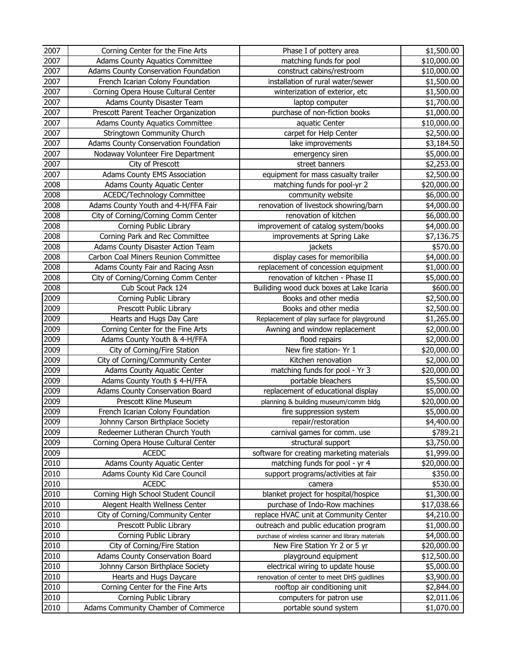| 2007         | Corning Center for the Fine Arts                             | Phase I of pottery area                            | \$1,500.00                |
|--------------|--------------------------------------------------------------|----------------------------------------------------|---------------------------|
| 2007         | <b>Adams County Aquatics Committee</b>                       | matching funds for pool                            | \$10,000.00               |
| 2007         | Adams County Conservation Foundation                         | construct cabins/restroom                          | \$10,000.00               |
| 2007         | French Icarian Colony Foundation                             | installation of rural water/sewer                  | \$1,500.00                |
| 2007         | Corning Opera House Cultural Center                          | winterization of exterior, etc                     | \$1,500.00                |
| 2007         | Adams County Disaster Team                                   | laptop computer                                    | \$1,700.00                |
| 2007         | Prescott Parent Teacher Organization                         | purchase of non-fiction books                      | \$1,000.00                |
| 2007         | <b>Adams County Aquatics Committee</b>                       | aquatic Center                                     | \$10,000.00               |
| 2007         | Stringtown Community Church                                  | carpet for Help Center                             | \$2,500.00                |
| 2007         | Adams County Conservation Foundation                         | lake improvements                                  | \$3,184.50                |
| 2007         | Nodaway Volunteer Fire Department                            | emergency siren                                    | \$5,000.00                |
| 2007         | City of Prescott                                             | street banners                                     | \$2,253.00                |
| 2007         | Adams County EMS Association                                 | equipment for mass casualty trailer                | \$2,500.00                |
| 2008         | <b>Adams County Aquatic Center</b>                           | matching funds for pool-yr 2                       | \$20,000.00               |
| 2008         | ACEDC/Technology Committee                                   | community website                                  | \$6,000.00                |
| 2008         | Adams County Youth and 4-H/FFA Fair                          | renovation of livestock showring/barn              | \$4,000.00                |
| 2008         | City of Corning/Corning Comm Center                          | renovation of kitchen                              | \$6,000.00                |
| 2008         | Corning Public Library                                       | improvement of catalog system/books                | \$4,000.00                |
| 2008         | Corning Park and Rec Committee                               | improvements at Spring Lake                        | \$7,136.75                |
| 2008         | Adams County Disaster Action Team                            | jackets                                            | \$570.00                  |
| 2008         | Carbon Coal Miners Reunion Committee                         | display cases for memoribilia                      | \$4,000.00                |
| 2008         | Adams County Fair and Racing Assn                            | replacement of concession equipment                | \$1,000.00                |
| 2008         | City of Corning/Corning Comm Center                          | renovation of kitchen - Phase II                   | \$5,000.00                |
| 2008         | Cub Scout Pack 124                                           | Builiding wood duck boxes at Lake Icaria           | \$600.00                  |
| 2009         | Corning Public Library                                       | Books and other media                              | \$2,500.00                |
| 2009         | Prescott Public Library                                      | Books and other media                              | \$2,500.00                |
| 2009         | Hearts and Hugs Day Care                                     | Replacement of play surface for playground         | \$1,265.00                |
| 2009<br>2009 | Corning Center for the Fine Arts                             | Awning and window replacement                      | \$2,000.00                |
| 2009         | Adams County Youth & 4-H/FFA<br>City of Corning/Fire Station | flood repairs<br>New fire station- Yr 1            | \$2,000.00<br>\$20,000.00 |
| 2009         | City of Corning/Community Center                             | Kitchen renovation                                 | \$2,000.00                |
| 2009         | Adams County Aquatic Center                                  | matching funds for pool - Yr 3                     | \$20,000.00               |
| 2009         | Adams County Youth \$ 4-H/FFA                                | portable bleachers                                 | \$5,500.00                |
| 2009         | Adams County Conservation Board                              | replacement of educational display                 | \$5,000.00                |
| 2009         | Prescott Kline Museum                                        | planning & building museum/comm bldg               | \$20,000.00               |
| 2009         | French Icarian Colony Foundation                             | fire suppression system                            | \$5,000.00                |
| 2009         | Johnny Carson Birthplace Society                             | repair/restoration                                 | \$4,400.00                |
| 2009         | Redeemer Lutheran Church Youth                               | carnival games for comm. use                       | \$789.21                  |
| 2009         | Corning Opera House Cultural Center                          | structural support                                 | \$3,750.00                |
| 2009         | <b>ACEDC</b>                                                 | software for creating marketing materials          | \$1,999.00                |
| 2010         | Adams County Aquatic Center                                  | matching funds for pool - yr 4                     | \$20,000.00               |
| 2010         | Adams County Kid Care Council                                | support programs/activities at fair                | \$350.00                  |
| 2010         | <b>ACEDC</b>                                                 | camera                                             | \$530.00                  |
| 2010         | Corning High School Student Council                          | blanket project for hospital/hospice               | \$1,300.00                |
| 2010         | Alegent Health Wellness Center                               | purchase of Indo-Row machines                      | \$17,038.66               |
| 2010         | City of Corning/Community Center                             | replace HVAC unit at Community Center              | \$4,210.00                |
| 2010         | Prescott Public Library                                      | outreach and public education program              | \$1,000.00                |
| 2010         | Corning Public Library                                       | purchase of wireless scanner and library materials | \$4,000.00                |
| 2010         | City of Corning/Fire Station                                 | New Fire Station Yr 2 or 5 yr                      | \$20,000.00               |
| 2010         | Adams County Conservation Board                              | playground equipment                               | \$12,500.00               |
| 2010         | Johnny Carson Birthplace Society                             | electrical wiring to update house                  | \$5,000.00                |
| 2010         | Hearts and Hugs Daycare                                      | renovation of center to meet DHS guidlines         | \$3,900.00                |
| 2010         | Corning Center for the Fine Arts                             | rooftop air conditioning unit                      | \$2,844.00                |
| 2010         | Corning Public Library                                       | computers for patron use                           | \$2,011.06                |
| 2010         | Adams Community Chamber of Commerce                          | portable sound system                              | \$1,070.00                |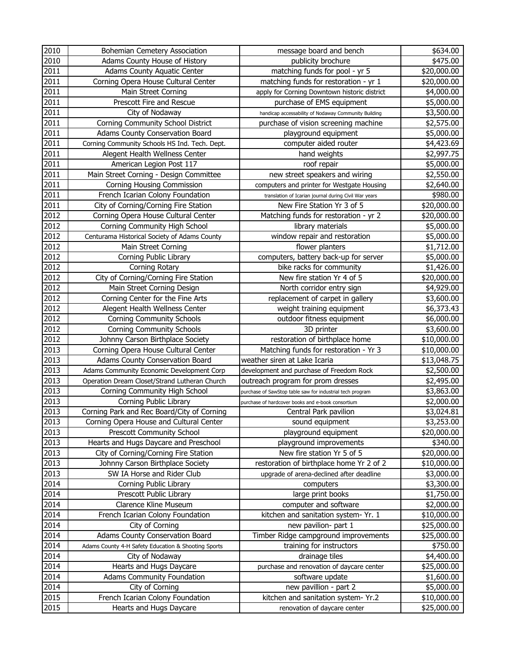| 2010              | Bohemian Cemetery Association                                        | message board and bench                                   | \$634.00                  |
|-------------------|----------------------------------------------------------------------|-----------------------------------------------------------|---------------------------|
| 2010              | Adams County House of History                                        | publicity brochure                                        | \$475.00                  |
| 2011              | Adams County Aquatic Center                                          | matching funds for pool - yr 5                            | \$20,000.00               |
| 2011              | Corning Opera House Cultural Center                                  | matching funds for restoration - yr 1                     | \$20,000.00               |
| 2011              | Main Street Corning                                                  | apply for Corning Downtown historic district              | \$4,000.00                |
| 2011              | Prescott Fire and Rescue                                             | purchase of EMS equipment                                 | \$5,000.00                |
| 2011              | City of Nodaway                                                      | handicap accessability of Nodaway Community Building      | \$3,500.00                |
| 2011              | Corning Community School District                                    | purchase of vision screening machine                      | \$2,575.00                |
| $\overline{201}1$ | Adams County Conservation Board                                      | playground equipment                                      | \$5,000.00                |
| 2011              | Corning Community Schools HS Ind. Tech. Dept.                        | computer aided router                                     | \$4,423.69                |
| 2011              | Alegent Health Wellness Center                                       | hand weights                                              | \$2,997.75                |
| 2011              | American Legion Post 117                                             | roof repair                                               | \$5,000.00                |
| 2011              | Main Street Corning - Design Committee                               | new street speakers and wiring                            | \$2,550.00                |
| 2011              | <b>Corning Housing Commission</b>                                    | computers and printer for Westgate Housing                | \$2,640.00                |
| 2011              | French Icarian Colony Foundation                                     | translation of Icarian journal during Civil War years     | \$980.00                  |
| 2011              | City of Corning/Corning Fire Station                                 | New Fire Station Yr 3 of 5                                | \$20,000.00               |
| 2012              | Corning Opera House Cultural Center                                  | Matching funds for restoration - yr 2                     | \$20,000.00               |
| 2012              | Corning Community High School                                        | library materials                                         | \$5,000.00                |
| 2012              | Centurama Historical Society of Adams County                         | window repair and restoration                             | \$5,000.00                |
| 2012              | Main Street Corning                                                  | flower planters                                           | \$1,712.00                |
| 2012              | Corning Public Library                                               | computers, battery back-up for server                     | \$5,000.00                |
| 2012              | Corning Rotary                                                       | bike racks for community                                  | \$1,426.00                |
| 2012              | City of Corning/Corning Fire Station                                 | New fire station Yr 4 of 5                                | \$20,000.00               |
| 2012              | Main Street Corning Design                                           | North corridor entry sign                                 | \$4,929.00                |
| 2012              | Corning Center for the Fine Arts                                     | replacement of carpet in gallery                          | \$3,600.00                |
| 2012              | Alegent Health Wellness Center                                       | weight training equipment                                 | \$6,373.43                |
| 2012              | <b>Corning Community Schools</b>                                     | outdoor fitness equipment                                 | \$6,000.00                |
| 2012              | <b>Corning Community Schools</b>                                     | 3D printer                                                | \$3,600.00                |
| 2012              | Johnny Carson Birthplace Society                                     | restoration of birthplace home                            | \$10,000.00               |
| 2013              | Corning Opera House Cultural Center                                  | Matching funds for restoration - Yr 3                     | \$10,000.00               |
| 2013              | Adams County Conservation Board                                      | weather siren at Lake Icaria                              | \$13,048.75               |
| 2013              | Adams Community Economic Development Corp                            | development and purchase of Freedom Rock                  | \$2,500.00                |
| 2013              | Operation Dream Closet/Strand Lutheran Church                        | outreach program for prom dresses                         | \$2,495.00                |
| 2013              | Corning Community High School                                        | purchase of SawStop table saw for industrial tech program | \$3,863.00                |
| 2013              | Corning Public Library<br>Corning Park and Rec Board/City of Corning | purchase of hardcover books and e-book consortium         | \$2,000.00                |
| 2013              |                                                                      | Central Park pavilion<br>sound equipment                  | \$3,024.81                |
| 2013<br>2013      | Corning Opera House and Cultural Center<br>Prescott Community School | playground equipment                                      | \$3,253.00<br>\$20,000.00 |
| 2013              | Hearts and Hugs Daycare and Preschool                                | playground improvements                                   | \$340.00                  |
| 2013              | City of Corning/Corning Fire Station                                 | New fire station Yr 5 of 5                                | \$20,000.00               |
| 2013              | Johnny Carson Birthplace Society                                     | restoration of birthplace home Yr 2 of 2                  | \$10,000.00               |
| 2013              | SW IA Horse and Rider Club                                           | upgrade of arena-declined after deadline                  | \$3,000.00                |
| 2014              | Corning Public Library                                               | computers                                                 | \$3,300.00                |
| 2014              | Prescott Public Library                                              | large print books                                         | \$1,750.00                |
| 2014              | Clarence Kline Museum                                                | computer and software                                     | \$2,000.00                |
| 2014              | French Icarian Colony Foundation                                     | kitchen and sanitation system- Yr. 1                      | \$10,000.00               |
| 2014              | City of Corning                                                      | new pavilion- part 1                                      | \$25,000.00               |
| 2014              | Adams County Conservation Board                                      | Timber Ridge campground improvements                      | \$25,000.00               |
| 2014              | Adams County 4-H Safety Education & Shooting Sports                  | training for instructors                                  | \$750.00                  |
| 2014              | City of Nodaway                                                      | drainage tiles                                            | \$4,400.00                |
| 2014              | Hearts and Hugs Daycare                                              | purchase and renovation of daycare center                 | \$25,000.00               |
| 2014              | <b>Adams Community Foundation</b>                                    | software update                                           | \$1,600.00                |
| 2014              | City of Corning                                                      | new pavillion - part 2                                    | \$5,000.00                |
| 2015              | French Icarian Colony Foundation                                     | kitchen and sanitation system- Yr.2                       | \$10,000.00               |
| 2015              | Hearts and Hugs Daycare                                              | renovation of daycare center                              | \$25,000.00               |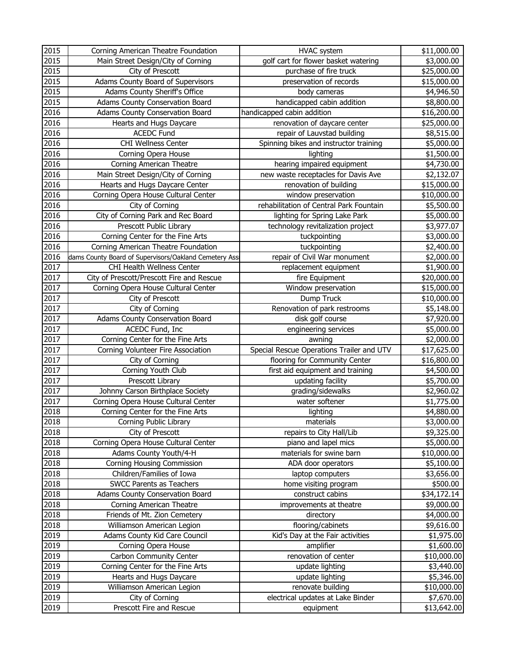| 2015 | Corning American Theatre Foundation                   | <b>HVAC</b> system                        | \$11,000.00 |
|------|-------------------------------------------------------|-------------------------------------------|-------------|
| 2015 | Main Street Design/City of Corning                    | golf cart for flower basket watering      | \$3,000.00  |
| 2015 | City of Prescott                                      | purchase of fire truck                    | \$25,000.00 |
| 2015 | Adams County Board of Supervisors                     | preservation of records                   | \$15,000.00 |
| 2015 | Adams County Sheriff's Office                         | body cameras                              | \$4,946.50  |
| 2015 | Adams County Conservation Board                       | handicapped cabin addition                | \$8,800.00  |
| 2016 | Adams County Conservation Board                       | handicapped cabin addition                | \$16,200.00 |
| 2016 | Hearts and Hugs Daycare                               | renovation of daycare center              | \$25,000.00 |
| 2016 | <b>ACEDC Fund</b>                                     | repair of Lauvstad building               | \$8,515.00  |
| 2016 | CHI Wellness Center                                   | Spinning bikes and instructor training    | \$5,000.00  |
| 2016 | Corning Opera House                                   | lighting                                  | \$1,500.00  |
| 2016 | Corning American Theatre                              | hearing impaired equipment                | \$4,730.00  |
| 2016 | Main Street Design/City of Corning                    | new waste receptacles for Davis Ave       | \$2,132.07  |
| 2016 | Hearts and Hugs Daycare Center                        | renovation of building                    | \$15,000.00 |
| 2016 | Corning Opera House Cultural Center                   | window preservation                       | \$10,000.00 |
| 2016 | City of Corning                                       | rehabilitation of Central Park Fountain   | \$5,500.00  |
| 2016 | City of Corning Park and Rec Board                    | lighting for Spring Lake Park             | \$5,000.00  |
| 2016 | Prescott Public Library                               | technology revitalization project         | \$3,977.07  |
| 2016 | Corning Center for the Fine Arts                      | tuckpointing                              | \$3,000.00  |
| 2016 | Corning American Theatre Foundation                   | tuckpointing                              | \$2,400.00  |
| 2016 | dams County Board of Supervisors/Oakland Cemetery Ass | repair of Civil War monument              | \$2,000.00  |
| 2017 | CHI Health Wellness Center                            | replacement equipment                     | \$1,900.00  |
| 2017 | City of Prescott/Prescott Fire and Rescue             | fire Equipment                            | \$20,000.00 |
| 2017 | Corning Opera House Cultural Center                   | Window preservation                       | \$15,000.00 |
| 2017 | City of Prescott                                      | Dump Truck                                | \$10,000.00 |
| 2017 | City of Corning                                       | Renovation of park restrooms              | \$5,148.00  |
| 2017 | Adams County Conservation Board                       | disk golf course                          | \$7,920.00  |
| 2017 | ACEDC Fund, Inc                                       | engineering services                      | \$5,000.00  |
| 2017 | Corning Center for the Fine Arts                      | awning                                    | \$2,000.00  |
| 2017 | Corning Volunteer Fire Association                    | Special Rescue Operations Trailer and UTV | \$17,625.00 |
| 2017 | City of Corning                                       | flooring for Community Center             | \$16,800.00 |
| 2017 | Corning Youth Club                                    | first aid equipment and training          | \$4,500.00  |
| 2017 | Prescott Library                                      | updating facility                         | \$5,700.00  |
| 2017 | Johnny Carson Birthplace Society                      | grading/sidewalks                         | \$2,960.02  |
| 2017 | Corning Opera House Cultural Center                   | water softener                            | \$1,775.00  |
| 2018 | Corning Center for the Fine Arts                      | lighting                                  | \$4,880.00  |
| 2018 | Corning Public Library                                | materials                                 | \$3,000.00  |
| 2018 | City of Prescott                                      | repairs to City Hall/Lib                  | \$9,325.00  |
| 2018 | Corning Opera House Cultural Center                   | piano and lapel mics                      | \$5,000.00  |
| 2018 | Adams County Youth/4-H                                | materials for swine barn                  | \$10,000.00 |
| 2018 | Corning Housing Commission                            | ADA door operators                        | \$5,100.00  |
| 2018 | Children/Families of Iowa                             | laptop computers                          | \$3,656.00  |
| 2018 | SWCC Parents as Teachers                              | home visiting program                     | \$500.00    |
| 2018 | Adams County Conservation Board                       | construct cabins                          | \$34,172.14 |
| 2018 | Corning American Theatre                              | improvements at theatre                   | \$9,000.00  |
| 2018 | Friends of Mt. Zion Cemetery                          | directory                                 | \$4,000.00  |
| 2018 | Williamson American Legion                            | flooring/cabinets                         | \$9,616.00  |
| 2019 | Adams County Kid Care Council                         | Kid's Day at the Fair activities          | \$1,975.00  |
| 2019 | Corning Opera House                                   | amplifier                                 | \$1,600.00  |
| 2019 | Carbon Community Center                               | renovation of center                      | \$10,000.00 |
| 2019 | Corning Center for the Fine Arts                      | update lighting                           | \$3,440.00  |
| 2019 | Hearts and Hugs Daycare                               | update lighting                           | \$5,346.00  |
| 2019 | Williamson American Legion                            | renovate building                         | \$10,000.00 |
| 2019 | City of Corning                                       | electrical updates at Lake Binder         | \$7,670.00  |
| 2019 | Prescott Fire and Rescue                              | equipment                                 | \$13,642.00 |